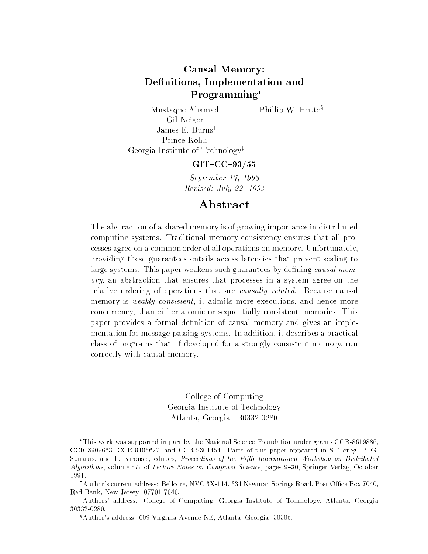## Causal Memory: Denitions, Implementation and Programming

Phillip W. Hutto $\delta$ 

Mustaque Ahamad Gil Neiger James E. Burns<sup>†</sup> Georgia Institute of Technology<sup>‡</sup>

### $GIT-CC-93/55$

September 17, 1993 Revised: July 22, 1994

## Abstract

The abstraction of a shared memory is of growing importance in distributed computing systems. Traditional memory consistency ensures that all processes agree on a common order of all operations on memory. Unfortunately, providing these guarantees entails access latencies that prevent scaling to large systems. This paper weakens such guarantees by defining *causal mem*ory, an abstraction that ensures that processes in a system agree on the relative ordering of operations that are causally related. Because causal memory is *weakly consistent*, it admits more executions, and hence more concurrency, than either atomic or sequentially consistent memories. This paper provides a formal definition of causal memory and gives an implementation for message-passing systems. In addition, it describes a practical class of programs that, if developed for a strongly consistent memory, run correctly with causal memory.

> College of Computing Georgia Institute of Technology Atlanta, Georgia 30332-0280

This work was supported in part by the National Science Foundation under grants CCR-8619886, CCR-8909663, CCR-9106627, and CCR-9301454. Parts of this paper appeared in S. Toueg, P. G. Spirakis, and L. Kirousis, editors, Proceedings of the Fifth International Workshop on Distributed Algorithms, volume 579 of Lecture Notes on Computer Science, pages 9-30, Springer-Verlag, October 1991.

<sup>†</sup>Author's current address: Bellcore, NVC 3X-114, 331 Newman Springs Road, Post Office Box 7040, Red Bank, New Jersey 07701-7040.

<sup>‡</sup>Authors' address: College of Computing, Georgia Institute of Technology, Atlanta, Georgia 30332-0280.

<sup>§</sup>Author's address: 609 Virginia Avenue NE, Atlanta, Georgia 30306.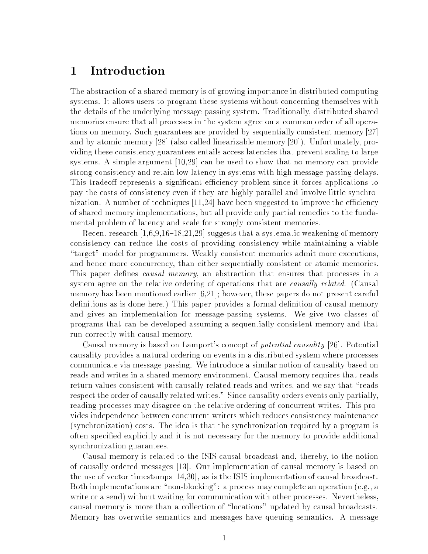### **Introduction**  $\mathbf 1$

The abstraction of a shared memory is of growing importance in distributed computing systems. It allows users to program these systems without concerning themselves with the details of the underlying message-passing system. Traditionally, distributed shared memories ensure that all processes in the system agree on a common order of all operations on memory. Such guarantees are provided by sequentially consistent memory [27] and by atomic memory [28] (also called linearizable memory [20]). Unfortunately, providing these consistency guarantees entails access latencies that prevent scaling to large systems. A simple argument [10,29] can be used to show that no memory can provide strong consistency and retain low latency in systems with high message-passing delays. This tradeoff represents a significant efficiency problem since it forces applications to pay the costs of consistency even if they are highly parallel and involve little synchronization. A number of techniques  $[11,24]$  have been suggested to improve the efficiency of shared memory implementations, but all provide only partial remedies to the fundamental problem of latency and scale for strongly consistent memories.

Recent research  $[1,6,9,16{-}18,21,29]$  suggests that a systematic weakening of memory consistency can reduce the costs of providing consistency while maintaining a viable "target" model for programmers. Weakly consistent memories admit more executions, and hence more concurrency, than either sequentially consistent or atomic memories. This paper defines *causal memory*, an abstraction that ensures that processes in a system agree on the relative ordering of operations that are *causally related.* (Causal memory has been mentioned earlier [6,21]; however, these papers do not present careful definitions as is done here.) This paper provides a formal definition of causal memory and gives an implementation for message-passing systems. We give two classes of programs that can be developed assuming a sequentially consistent memory and that run correctly with causal memory.

Causal memory is based on Lamport's concept of potential causality [26]. Potential causality provides a natural ordering on events in a distributed system where processes communicate via message passing. We introduce a similar notion of causality based on reads and writes in a shared memory environment. Causal memory requires that reads return values consistent with causally related reads and writes, and we say that "reads" respect the order of causally related writes." Since causality orders events only partially, reading processes may disagree on the relative ordering of concurrent writes. This provides independence between concurrent writers which reduces consistency maintenance (synchronization) costs. The idea is that the synchronization required by a program is often specied explicitly and it is not necessary for the memory to provide additional synchronization guarantees.

Causal memory is related to the ISIS causal broadcast and, thereby, to the notion of causally ordered messages [13]. Our implementation of causal memory is based on the use of vector timestamps [14,30], as is the ISIS implementation of causal broadcast. Both implementations are "non-blocking": a process may complete an operation (e.g., a write or a send) without waiting for communication with other processes. Nevertheless, causal memory is more than a collection of \locations" updated by causal broadcasts. Memory has overwrite semantics and messages have queuing semantics. A message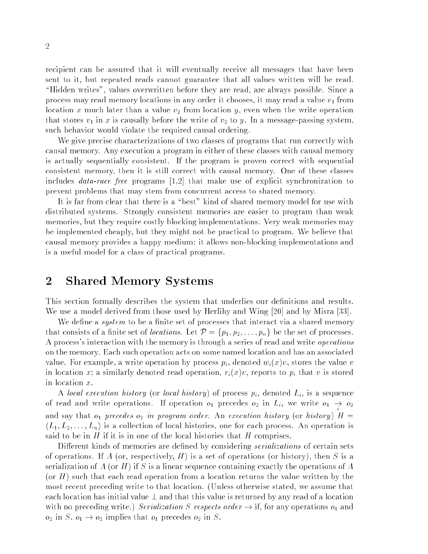recipient can be assured that it will eventually receive all messages that have been sent to it, but repeated reads cannot guarantee that all values written will be read. "Hidden writes", values overwritten before they are read, are always possible. Since a process may read memory locations in any order it chooses, it may read a value  $v_1$  from location x much later than a value  $v_2$  from location y, even when the write operation that stores  $v_1$  in x is causally before the write of  $v_2$  to y. In a message-passing system, such behavior would violate the required causal ordering.

We give precise characterizations of two classes of programs that run correctly with causal memory. Any execution a program in either of these classes with causal memory is actually sequentially consistent. If the program is proven correct with sequential consistent memory, then it is still correct with causal memory. One of these classes includes data-race free programs [1,2] that make use of explicit synchronization to prevent problems that may stem from concurrent access to shared memory.

It is far from clear that there is a "best" kind of shared memory model for use with distributed systems. Strongly consistent memories are easier to program than weak memories, but they require costly blocking implementations. Very weak memories may be implemented cheaply, but they might not be practical to program. We believe that causal memory provides a happy medium: it allows non-blocking implementations and is a useful model for a class of practical programs.

## 2 Shared Memory Systems

This section formally describes the system that underlies our definitions and results. We use a model derived from those used by Herlihy and Wing [20] and by Misra [33].

We define a *system* to be a finite set of processes that interact via a shared memory that consists of a finite set of *locations*. Let  $\mathcal{P} = \{p_1, p_2, \ldots, p_n\}$  be the set of processes. A process's interaction with the memory is through a series of read and write *operations* on the memory. Each such operation acts on some named location and has an associated value. For example, a write operation by process  $p_i$ , denoted  $w_i(x)v$ , stores the value v in location x; a similarly denoted read operation,  $r_i(x)v$ , reports to  $p_i$  that v is stored in location x.

A local execution history (or local history) of process  $p_i$ , denoted  $L_i$ , is a sequence of read and write operations. If operation  $o_1$  precedes  $o_2$  in  $L_i$ , we write  $o_1 \rightarrow o_2$ and say that  $o_1$  precedes  $o_2$  in program order. An execution history (or history)  $H =$  $\langle L_1, L_2, \ldots, L_n \rangle$  is a collection of local histories, one for each process. An operation is said to be in H if it is in one of the local histories that H comprises.

Different kinds of memories are defined by considering *serializations* of certain sets of operations. If A (or, respectively, H) is a set of operations (or history), then S is a serialization of A (or H) if S is a linear sequence containing exactly the operations of A (or  $H$ ) such that each read operation from a location returns the value written by the most recent preceding write to that location. (Unless otherwise stated, we assume that each location has initial value  $\perp$  and that this value is returned by any read of a location with no preceding write.) Serialization S respects order  $\rightarrow$  if, for any operations  $o_1$  and  $o_2$  in  $S$ ,  $o_1 \rightarrow o_2$  implies that  $o_1$  precedes  $o_2$  in  $S$ .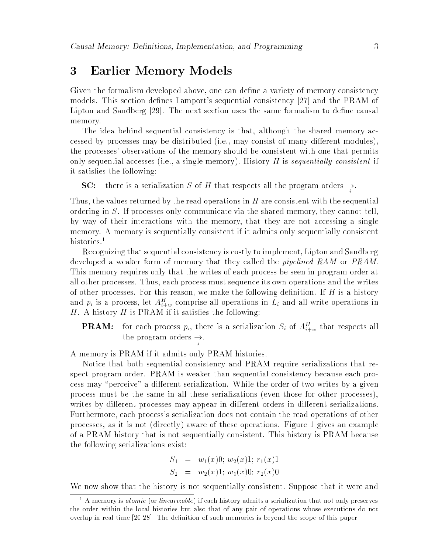### 3 Earlier Memory Models 3

Given the formalism developed above, one can define a variety of memory consistency models. This section defines Lamport's sequential consistency [27] and the PRAM of Lipton and Sandberg [29]. The next section uses the same formalism to define causal memory.

The idea behind sequential consistency is that, although the shared memory accessed by processes may be distributed (i.e., may consist of many different modules), the processes' observations of the memory should be consistent with one that permits only sequential accesses (i.e., a single memory). History  $H$  is sequentially consistent if it satisfies the following:

**SC:** there is a serialization S of H that respects all the program orders  $\rightarrow$ .

Thus, the values returned by the read operations in  $H$  are consistent with the sequential ordering in S. If processes only communicate via the shared memory, they cannot tell, by way of their interactions with the memory, that they are not accessing a single memory. A memory is sequentially consistent if it admits only sequentially consistent histories.<sup>1</sup>

Recognizing that sequential consistency is costly to implement, Lipton and Sandberg developed a weaker form of memory that they called the *pipelined RAM* or *PRAM*. This memory requires only that the writes of each process be seen in program order at all other processes. Thus, each process must sequence its own operations and the writes of other processes. For this reason, we make the following definition. If  $H$  is a history and  $p_i$  is a process, let  $A_{i+w}^H$  comprise all operations in  $L_i$  and all write operations in  $H$ . A history  $H$  is PRAM if it satisfies the following:

**PRAM:** for each process  $p_i$ , there is a serialization  $S_i$  of  $A_{i+w}^H$  that respects all the program orders ! .

A memory is PRAM if it admits only PRAM histories.

<sup>j</sup>

Notice that both sequential consistency and PRAM require serializations that respect program order. PRAM is weaker than sequential consistency because each process may "perceive" a different serialization. While the order of two writes by a given process must be the same in all these serializations (even those for other processes), writes by different processes may appear in different orders in different serializations. Furthermore, each process's serialization does not contain the read operations of other processes, as it is not (directly) aware of these operations. Figure 1 gives an example of a PRAM history that is not sequentially consistent. This history is PRAM because the following serializations exist:

$$
S_1 = w_1(x)0; w_2(x)1; r_1(x)1
$$
  
\n
$$
S_2 = w_2(x)1; w_1(x)0; r_2(x)0
$$

We now show that the history is not sequentially consistent. Suppose that it were and

<sup>i</sup>

 $^{\circ}$  A memory is *atomic* (or *unearizable*) if each history admits a serialization that not only preserves the order within the local histories but also that of any pair of operations whose executions do not overlap in real time [20,28]. The definition of such memories is beyond the scope of this paper.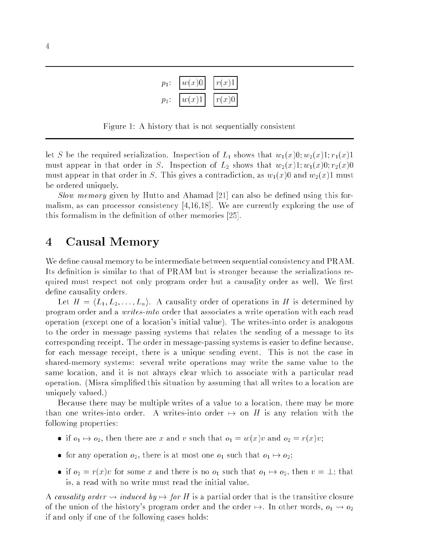| $p_1$   | w(x)0 | r(x)1     |
|---------|-------|-----------|
| $p_2$ : | w(x)1 | $r(x)0$ i |

Figure 1: A history that is not sequentially consistent

let S be the required serialization. Inspection of  $L_1$  shows that  $w_1(x)0; w_2(x)1; r_1(x)1$ must appear in that order in S. Inspection of  $L_2$  shows that  $w_2(x)1; w_1(x)0; r_2(x)0$ must appear in that order in S. This gives a contradiction, as  $w_1(x)0$  and  $w_2(x)1$  must be ordered uniquely.

Slow memory given by Hutto and Ahamad  $[21]$  can also be defined using this formalism, as can processor consistency [4,16,18]. We are currently exploring the use of this formalism in the definition of other memories [25].

## 4 Causal Memory

We define causal memory to be intermediate between sequential consistency and PRAM. Its definition is similar to that of PRAM but is stronger because the serializations required must respect not only program order but a causality order as well. We first define causality orders.

Let  $H = \langle L_1, L_2, \ldots, L_n \rangle$ . A causality order of operations in H is determined by program order and a writes-into order that associates a write operation with each read operation (except one of a location's initial value). The writes-into order is analogous to the order in message passing systems that relates the sending of a message to its corresponding receipt. The order in message-passing systems is easier to define because, for each message receipt, there is a unique sending event. This is not the case in shared-memory systems: several write operations may write the same value to the same location, and it is not always clear which to associate with a particular read operation. (Misra simplied this situation by assuming that all writes to a location are uniquely valued.)

Because there may be multiple writes of a value to a location, there may be more than one writes-into order. A writes-into order  $\mapsto$  on H is any relation with the following properties:

- if  $o_1 \mapsto o_2$ , then there are x and v such that  $o_1 = w(x)v$  and  $o_2 = r(x)v$ ;
- $\bullet$  for any operation  $o_2$ , there is at most one  $o_1$  such that  $o_1 \mapsto o_2;$
- if  $o_2 = r(x)v$  for some x and there is no  $o_1$  such that  $o_1 \mapsto o_2$ , then  $v = \bot$ ; that is, a read with no write must read the initial value.

A causality order  $\leadsto$  induced by  $\mapsto$  for H is a partial order that is the transitive closure of the union of the history's program order and the order  $\mapsto$ . In other words,  $o_1 \leadsto o_2$ if and only if one of the following cases holds: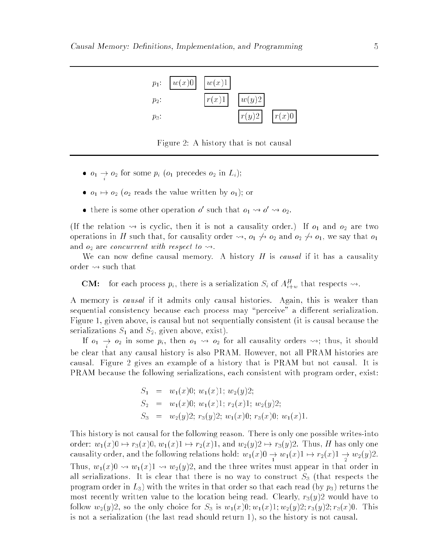

Figure 2: A history that is not causal

•  $o_1 \rightarrow o_2$  for some  $p_i$  ( $o_1$  precedes  $o_2$  in  $L_i$ );

<sup>i</sup>

- $\bullet$   $o_1 \mapsto o_2$  ( $o_2$  reads the value written by  $o_1$ ); or
- there is some other operation  $\sigma$  such that  $o_1 \leadsto o \leadsto o_2$ .

(If the relation  $\rightsquigarrow$  is cyclic, then it is not a causality order.) If  $o_1$  and  $o_2$  are two operations in H such that, for causality order  $\rightsquigarrow$ ,  $o_1 \not\rightsquigarrow o_2$  and  $o_2 \not\rightsquigarrow o_1$ , we say that  $o_1$ and  $o_2$  are *concurrent with respect to*  $\rightsquigarrow$ .

We can now define causal memory. A history  $H$  is *causal* if it has a causality order  $\rightsquigarrow$  such that

**CM:** for each process  $p_i$ , there is a serialization  $S_i$  of  $A_{i+w}^H$  that respects  $\rightsquigarrow$ .

A memory is causal if it admits only causal histories. Again, this is weaker than sequential consistency because each process may "perceive" a different serialization. Figure 1, given above, is causal but not sequentially consistent (it is causal because the serializations  $S_1$  and  $S_2$ , given above, exist).

If  $o_1 \to o_2$  in some  $p_i,$  then  $o_1 \leadsto o_2$  for all causality orders  $\leadsto;$  thus, it should be clear that any causal history is also PRAM. However, not all PRAM histories are causal. Figure 2 gives an example of a history that is PRAM but not causal. It is PRAM because the following serializations, each consistent with program order, exist:

$$
S_1 = w_1(x)0; w_1(x)1; w_2(y)2;
$$
  
\n
$$
S_2 = w_1(x)0; w_1(x)1; r_2(x)1; w_2(y)2;
$$
  
\n
$$
S_3 = w_2(y)2; r_3(y)2; w_1(x)0; r_3(x)0; w_1(x)1.
$$

This history is not causal for the following reason. There is only one possible writes-into order:  $w_1(x)0 \rightarrow r_3(x)0, w_1(x)1 \rightarrow r_2(x)1$ , and  $w_2(y)2 \rightarrow r_3(y)2$ . Thus, H has only one causality order, and the following relations hold:  $w_1(x)0 \to w_1(x)1 \mapsto r_2(x)1 \to w_2(y)2.$ Thus,  $w_1(x)0 \rightsquigarrow w_1(x)1 \rightsquigarrow w_2(y)2$ , and the three writes must appear in that order in all serializations. It is clear that there is no way to construct  $S_3$  (that respects the program order in  $L_3$ ) with the writes in that order so that each read (by  $p_3$ ) returns the most recently written value to the location being read. Clearly,  $r_3(y)2$  would have to follow  $w_2(y)2$ , so the only choice for  $S_3$  is  $w_1(x)0; w_1(x)1; w_2(y)2; r_3(y)2; r_3(x)0$ . This is not a serialization (the last read should return 1), so the history is not causal.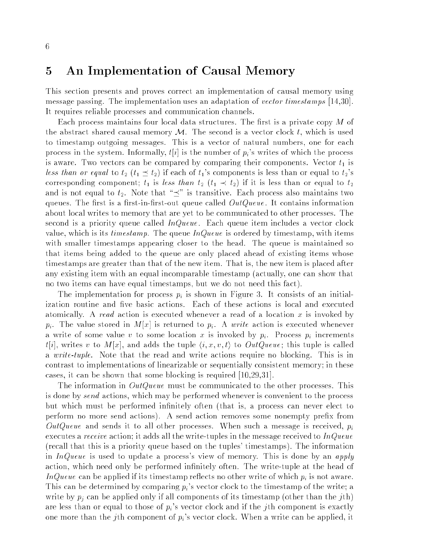## 5 An Implementation of Causal Memory

This section presents and proves correct an implementation of causal memory using message passing. The implementation uses an adaptation of vector timestamps [14,30]. It requires reliable processes and communication channels.

Each process maintains four local data structures. The first is a private copy  $M$  of the abstract shared causal memory  $\mathcal M$ . The second is a vector clock t, which is used to timestamp outgoing messages. This is a vector of natural numbers, one for each process in the system. Informally,  $t[i]$  is the number of  $p_i$ 's writes of which the process is aware. Two vectors can be compared by comparing their components. Vector  $t_1$  is less than or equal to  $t_2$  ( $t_1 \preceq t_2$ ) if each of  $t_1$ 's components is less than or equal to  $t_2$ 's corresponding component;  $t_1$  is less than  $t_2$   $(t_1 \prec t_2)$  if it is less than or equal to  $t_2$ and is not equal to  $t_2$ . Note that " $\preceq$ " is transitive. Each process also maintains two queues. The first is a first-in-first-out queue called  $OutQueue$ . It contains information about local writes to memory that are yet to be communicated to other processes. The second is a priority queue called  $InQueue$ . Each queue item includes a vector clock value, which is its *timestamp*. The queue  $InQueue$  is ordered by timestamp, with items with smaller timestamps appearing closer to the head. The queue is maintained so that items being added to the queue are only placed ahead of existing items whose timestamps are greater than that of the new item. That is, the new item is placed after any existing item with an equal incomparable timestamp (actually, one can show that no two items can have equal timestamps, but we do not need this fact).

The implementation for process  $p_i$  is shown in Figure 3. It consists of an initialization routine and five basic actions. Each of these actions is local and executed atomically. A read action is executed whenever a read of a location x is invoked by  $p_i$ . The value stored in M[x] is returned to  $p_i$ . A write action is executed whenever a write of some value v to some location x is invoked by  $p_i$ . Process  $p_i$  increments  $t[i]$ , writes v to  $M[x]$ , and adds the tuple  $\langle i, x, v, t \rangle$  to  $OutQueue$ ; this tuple is called a *write-tuple*. Note that the read and write actions require no blocking. This is in contrast to implementations of linearizable or sequentially consistent memory; in these cases, it can be shown that some blocking is required [10,29,31].

The information in *OutQueue* must be communicated to the other processes. This is done by send actions, which may be performed whenever is convenient to the process but which must be performed infinitely often (that is, a process can never elect to perform no more send actions). A send action removes some nonempty prefix from OutQueue and sends it to all other processes. When such a message is received,  $p_i$ executes a *receive* action; it adds all the write-tuples in the message received to  $InQueue$ (recall that this is a priority queue based on the tuples' timestamps). The information in  $InQueue$  is used to update a process's view of memory. This is done by an apply action, which need only be performed infinitely often. The write-tuple at the head of InQueue can be applied if its timestamp reflects no other write of which  $p_i$  is not aware. This can be determined by comparing  $p_i$ 's vector clock to the timestamp of the write; a write by  $p_i$  can be applied only if all components of its timestamp (other than the jth) are less than or equal to those of  $p_i$ 's vector clock and if the jth component is exactly one more than the jth component of  $p_i$ 's vector clock. When a write can be applied, it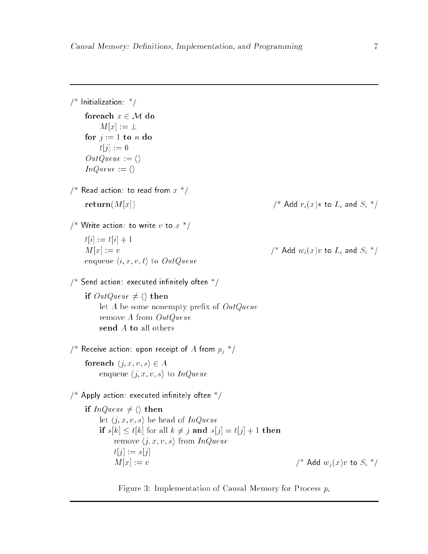```
/* Initialization: */
    foreach x \in \mathcal{M} do
        M[x] := \perpfor j := 1 to n do
        t[j] := 0OutQueue := \langle \rangleInQueue := \langle \rangle/* Read action: to read from x */
    \mathbf{return}(M[x]) /* Add r_i(x) * to L_i and S_i */
/* Write action: to write v to x */
    t[i] := t[i] + 1M[x] := v /* Add w_i(x)v to L_i and S_i */
    enqueue \langle i, x, v, t \rangle to OutQueue\frac{1}{2} Send action: executed infinitely often \frac{1}{2}if OutQueue \neq \langle \rangle then
        let A be some nonempty prefix of OutQueueremove A from OutQueue
        send A to all others
/* Receive action: upon receipt of A from p_i */
    for each \langle j, x, v, s \rangle \in Aenqueue \langle j, x, v, s \rangle to InQueue\frac{1}{2} Apply action: executed infinitely often \frac{1}{2}if InQueue \neq \langle \rangle then
        let \langle j, x, v, s \rangle be head of InQueue
        if s[k] \le t[k] for all k \ne j and s[j] = t[j] + 1 then
             remove \langle j, x, v, s \rangle from InQueuet[j] := s[j]M[x] := v /* Add w_i(x)v to S_i */
```
Figure 3: Implementation of Causal Memory for Process  $p_i$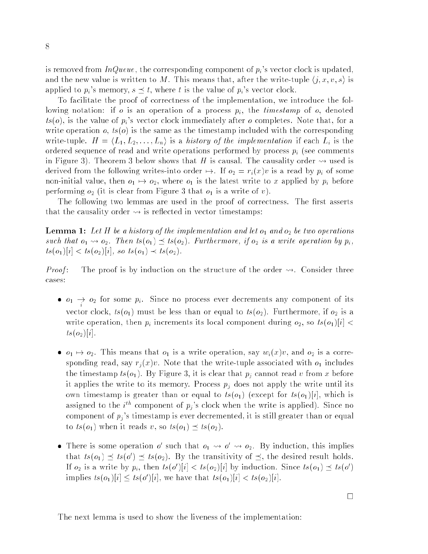is removed from  $InQueue$ , the corresponding component of  $p_i$ 's vector clock is updated, and the new value is written to M. This means that, after the write-tuple  $\langle j, x, v, s \rangle$  is applied to  $p_i$ 's memory,  $s \preceq t$ , where t is the value of  $p_i$ 's vector clock.

To facilitate the proof of correctness of the implementation, we introduce the following notation: if o is an operation of a process  $p_i$ , the *timestamp* of o, denoted  $ts(o)$ , is the value of  $p_i$ 's vector clock immediately after o completes. Note that, for a write operation  $o, ts(o)$  is the same as the timestamp included with the corresponding write-tuple.  $H = \langle L_1, L_2, \ldots, L_n \rangle$  is a history of the implementation if each  $L_i$  is the ordered sequence of read and write operations performed by process  $p_i$  (see comments in Figure 3). Theorem 3 below shows that H is causal. The causality order  $\rightsquigarrow$  used is derived from the following writes-into order  $\mapsto$ . If  $o_2 = r_i(x)v$  is a read by  $p_i$  of some non-initial value, then  $o_1 \mapsto o_2$ , where  $o_1$  is the latest write to x applied by  $p_i$  before performing  $o_2$  (it is clear from Figure 3 that  $o_1$  is a write of v).

The following two lemmas are used in the proof of correctness. The first asserts that the causality order  $\rightsquigarrow$  is reflected in vector timestamps:

**Lemma 1:** Let H be a history of the implementation and let  $o_1$  and  $o_2$  be two operations such that  $o_1 \leadsto o_2$ . Then  $ts(o_1) \preceq ts(o_2)$ . Furthermore, if  $o_2$  is a write operation by  $p_i$ ,  $ts(o_1)[i] < ts(o_2)[i]$ , so  $ts(o_1) \prec ts(o_2)$ .

*Proof*: The proof is by induction on the structure of the order  $\rightsquigarrow$ . Consider three cases:

- $\bullet$   $o_1$   $\rightarrow$   $o_2$  for some  $p_i$ . Since no process ever decrements any component of its vector clock,  $ts(o_1)$  must be less than or equal to  $ts(o_2)$ . Furthermore, if  $o_2$  is a write operation, then  $p_i$  increments its local component during  $o_2$ , so  $ts(o_1)[i]$  <  $ts(o_2)[i]$ .
- $\bullet$   $o_1 \mapsto o_2$ . This means that  $o_1$  is a write operation, say  $w_i(x)v$ , and  $o_2$  is a corresponding read, say  $r_i(x)v$ . Note that the write-tuple associated with  $o_1$  includes the timestamp  $ts(o_1)$ . By Figure 3, it is clear that  $p_j$  cannot read v from x before it applies the write to its memory. Process  $p_j$  does not apply the write until its own timestamp is greater than or equal to  $ts(o_1)$  (except for  $ts(o_1)[i]$ , which is assigned to the  $i^{th}$  component of  $p_i$ 's clock when the write is applied). Since no component of  $p_j$ 's timestamp is ever decremented, it is still greater than or equal to  $ts(o_1)$  when it reads v, so  $ts(o_1) \preceq ts(o_2)$ .
- There is some operation of such that  $o_1 \leadsto o_1 \leadsto o_2$ . By induction, this implies that  $ts(\theta_1) \preceq ts(\theta_1) \preceq ts(\theta_2)$ . By the transitivity of  $\preceq$ , the desired result holds. If  $o_2$  is a write by  $p_i$ , then  $ts(o')|i| < ts(o_2)|i|$  by induction. Since  $ts(o_1) \preceq ts(o')$ implies  $ts(o_1)|i| \leq ts(o')|i|$ , we have that  $ts(o_1)|i| < ts(o_2)|i|$ .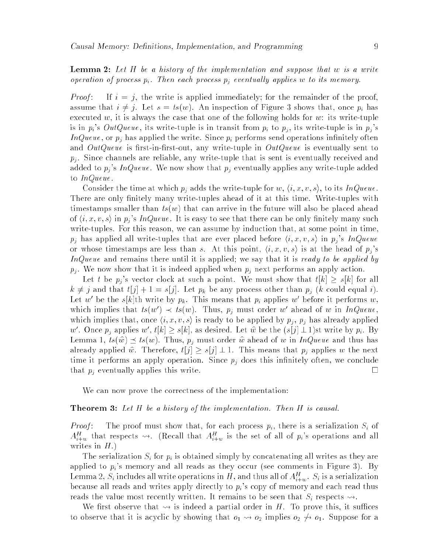**Lemma 2:** Let  $H$  be a history of the implementation and suppose that  $w$  is a write operation of process  $p_i$ . Then each process  $p_j$  eventually applies w to its memory.

*Proof*: If  $i = j$ , the write is applied immediately; for the remainder of the proof, assume that  $i \neq j$ . Let  $s = ts(w)$ . An inspection of Figure 3 shows that, once  $p_i$  has executed w, it is always the case that one of the following holds for w: its write-tuple is in  $p_i$ 's  $OutQueue$ , its write-tuple is in transit from  $p_i$  to  $p_j$ , its write-tuple is in  $p_j$ 's InQueue, or  $p_i$  has applied the write. Since  $p_i$  performs send operations infinitely often and  $OutQueue$  is first-in-first-out, any write-tuple in  $OutQueue$  is eventually sent to  $p_i$ . Since channels are reliable, any write-tuple that is sent is eventually received and added to  $p_j$ 's InQueue. We now show that  $p_j$  eventually applies any write-tuple added to InQueue .

Consider the time at which  $p_i$  adds the write-tuple for  $w, \langle i, x, v, s \rangle$ , to its InQueue. There are only finitely many write-tuples ahead of it at this time. Write-tuples with timestamps smaller than  $ts(w)$  that can arrive in the future will also be placed ahead of  $\langle i, x, v, s \rangle$  in  $p_j$ 's InQueue. It is easy to see that there can be only finitely many such write-tuples. For this reason, we can assume by induction that, at some point in time,  $p_i$  has applied all write-tuples that are ever placed before  $\langle i, x, v, s \rangle$  in  $p_j$ 's InQueue or whose timestamps are less than s. At this point,  $\langle i, x, v, s \rangle$  is at the head of  $p_j$ 's InQueue and remains there until it is applied; we say that it is ready to be applied by  $p_j$ . We now show that it is indeed applied when  $p_j$  next performs an apply action.

Let t be  $p_j$ 's vector clock at such a point. We must show that  $t[k] \geq s[k]$  for all  $k \neq j$  and that  $t[j] + 1 = s[j]$ . Let  $p_k$  be any process other than  $p_j$  (k could equal i). Let w' be the s[k]th write by  $p_k$ . This means that  $p_i$  applies w' before it performs w, which implies that  $ts(w) \prec ts(w)$ . Thus,  $p_j$  must order w ahead of w in InQueue, which implies that, once  $\langle i, x, v, s \rangle$  is ready to be applied by  $p_j$ ,  $p_j$  has already applied w'. Once  $p_i$  applies w',  $t[k] \geq s[k]$ , as desired. Let  $\hat{w}$  be the  $(s[j] \perp 1)$ st write by  $p_i$ . By Lemma 1,  $ts(\hat{w}) \preceq ts(w)$ . Thus,  $p_j$  must order  $\hat{w}$  ahead of w in InQueue and thus has already applied  $\hat{w}$ . Therefore,  $t[j] \geq s[j] \perp 1$ . This means that  $p_j$  applies w the next time it performs an apply operation. Since  $p_j$  does this infinitely often, we conclude that  $p_i$  eventually applies this write.

We can now prove the correctness of the implementation:

### **Theorem 3:** Let  $H$  be a history of the implementation. Then  $H$  is causal.

*Proof*: The proof must show that, for each process  $p_i$ , there is a serialization  $S_i$  of  $A_{i+w}^H$  that respects  $\rightsquigarrow$ . (Recall that  $A_{i+w}^H$  is the set of all of  $p_i$ 's operations and all writes in  $H$ .)

The serialization  $S_i$  for  $p_i$  is obtained simply by concatenating all writes as they are applied to  $p_i$ 's memory and all reads as they occur (see comments in Figure 3). By Lemma 2,  $S_i$  includes all write operations in H, and thus all of  $A_{i+w}^H$ .  $S_i$  is a serialization because all reads and writes apply directly to  $p_i$ 's copy of memory and each read thus reads the value most recently written. It remains to be seen that  $S_i$  respects  $\rightsquigarrow$ .

We first observe that  $\rightsquigarrow$  is indeed a partial order in H. To prove this, it suffices to observe that it is acyclic by showing that  $o_1 \leadsto o_2$  implies  $o_2 \not\leadsto o_1$ . Suppose for a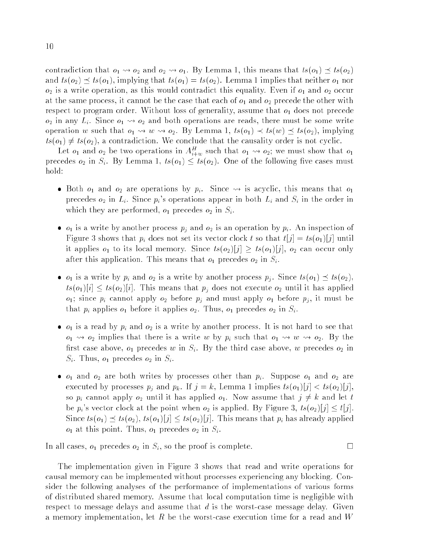contradiction that  $o_1 \leadsto o_2$  and  $o_2 \leadsto o_1$ . By Lemma 1, this means that  $ts (o_1) \preceq ts(o_2)$ and  $ts(o_2) \preceq ts(o_1)$ , implying that  $ts(o_1) = ts(o_2)$ . Lemma 1 implies that neither  $o_1$  nor  $o_2$  is a write operation, as this would contradict this equality. Even if  $o_1$  and  $o_2$  occur at the same process, it cannot be the case that each of  $o_1$  and  $o_2$  precede the other with respect to program order. Without loss of generality, assume that  $o_1$  does not precede  $o_2$  in any  $L_i$ . Since  $o_1 \leadsto o_2$  and both operations are reads, there must be some write operation w such that  $o_1 \leadsto w \leadsto o_2$ . By Lemma 1,  $ts(o_1) \prec ts(w) \preceq ts(o_2)$ , implying  $ts(o_1) \neq ts(o_2)$ , a contradiction. We conclude that the causality order is not cyclic.

Let  $o_1$  and  $o_2$  be two operations in  $A_{i+w}^H$  such that  $o_1 \leadsto o_2$ ; we must show that  $o_1$ precedes  $o_2$  in  $S_i$ . By Lemma 1,  $ts(o_1) \leq ts(o_2)$ . One of the following five cases must hold:

- Both  $o_1$  and  $o_2$  are operations by  $p_i$ . Since  $\leadsto$  is acyclic, this means that  $o_1$ precedes  $o_2$  in  $L_i$ . Since  $p_i$ 's operations appear in both  $L_i$  and  $S_i$  in the order in which they are performed,  $o_1$  precedes  $o_2$  in  $S_i$ .
- $\bullet$   $o_1$  is a write by another process  $p_j$  and  $o_2$  is an operation by  $p_i$  . An inspection of Figure 3 shows that  $p_i$  does not set its vector clock t so that  $t[j] = ts(o_1)[j]$  until it applies  $o_1$  to its local memory. Since  $ts(o_2)[j] \geq ts(o_1)[j]$ ,  $o_2$  can occur only after this application. This means that  $o_1$  precedes  $o_2$  in  $S_i$ .
- $\bullet$   $o_1$  is a write by  $p_i$  and  $o_2$  is a write by another process  $p_j$ . Since  $ts (o_1) \preceq ts(o_2)$ ,  $ts(o_1)[i] \leq ts(o_2)[i]$ . This means that  $p_j$  does not execute  $o_2$  until it has applied  $o_1$ ; since  $p_i$  cannot apply  $o_2$  before  $p_j$  and must apply  $o_1$  before  $p_j$ , it must be that  $p_i$  applies  $o_1$  before it applies  $o_2$ . Thus,  $o_1$  precedes  $o_2$  in  $S_i$ .
- $\bullet$   $o_1$  is a read by  $p_i$  and  $o_2$  is a write by another process. It is not hard to see that  $o_1 \rightarrow o_2$  implies that there is a write w by  $p_i$  such that  $o_1 \rightarrow w \rightarrow o_2$ . By the first case above,  $o_1$  precedes w in  $S_i$ . By the third case above, w precedes  $o_2$  in  $S_i$ . Thus,  $o_1$  precedes  $o_2$  in  $S_i$ .
- $\bullet$   $o_1$  and  $o_2$  are both writes by processes other than  $p_i$ . Suppose  $o_1$  and  $o_2$  are executed by processes  $p_j$  and  $p_k$ . If  $j = k$ , Lemma 1 implies  $ts(o_1)[j] < ts(o_2)[j]$ , so  $p_i$  cannot apply  $o_2$  until it has applied  $o_1$ . Now assume that  $j \neq k$  and let t be  $p_i$ 's vector clock at the point when  $o_2$  is applied. By Figure 3,  $ts(o_2)[j] \leq t[j]$ . Since  $ts(o_1) \preceq ts(o_2), ts(o_1)[j] \leq ts(o_2)[j]$ . This means that  $p_i$  has already applied  $o_1$  at this point. Thus,  $o_1$  precedes  $o_2$  in  $S_i$ .

In all cases,  $o_1$  precedes  $o_2$  in  $S_i$ , so the proof is complete.

The implementation given in Figure 3 shows that read and write operations for causal memory can be implemented without processes experiencing any blocking. Consider the following analyses of the performance of implementations of various forms of distributed shared memory. Assume that local computation time is negligible with respect to message delays and assume that  $d$  is the worst-case message delay. Given a memory implementation, let R be the worst-case execution time for a read and  $W$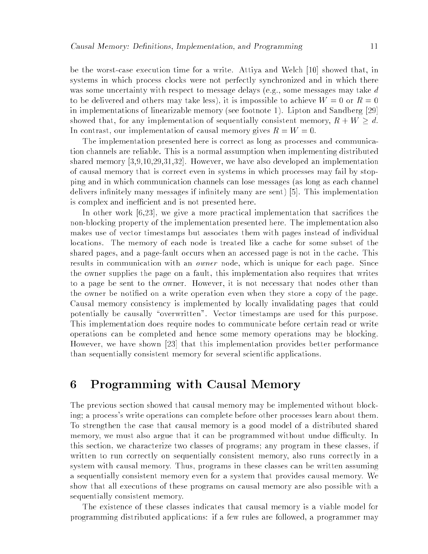be the worst-case execution time for a write. Attiya and Welch [10] showed that, in systems in which process clocks were not perfectly synchronized and in which there was some uncertainty with respect to message delays (e.g., some messages may take  $d$ to be delivered and others may take less), it is impossible to achieve  $W = 0$  or  $R = 0$ in implementations of linearizable memory (see footnote 1). Lipton and Sandberg [29] showed that, for any implementation of sequentially consistent memory,  $R + W \geq d$ . In contrast, our implementation of causal memory gives  $R = W = 0$ .

The implementation presented here is correct as long as processes and communication channels are reliable. This is a normal assumption when implementing distributed shared memory [3,9,10,29,31,32]. However, we have also developed an implementation of causal memory that is correct even in systems in which processes may fail by stopping and in which communication channels can lose messages (as long as each channel delivers infinitely many messages if infinitely many are sent) [5]. This implementation is complex and inefficient and is not presented here.

In other work [6.23], we give a more practical implementation that sacrifices the non-blocking property of the implementation presented here. The implementation also makes use of vector timestamps but associates them with pages instead of individual locations. The memory of each node is treated like a cache for some subset of the shared pages, and a page-fault occurs when an accessed page is not in the cache. This results in communication with an owner node, which is unique for each page. Since the owner supplies the page on a fault, this implementation also requires that writes to a page be sent to the owner. However, it is not necessary that nodes other than the owner be notied on a write operation even when they store a copy of the page. Causal memory consistency is implemented by locally invalidating pages that could potentially be causally "overwritten". Vector timestamps are used for this purpose. This implementation does require nodes to communicate before certain read or write operations can be completed and hence some memory operations may be blocking. However, we have shown [23] that this implementation provides better performance than sequentially consistent memory for several scientic applications.

# 6 Programming with Causal Memory

The previous section showed that causal memory may be implemented without blocking; a process's write operations can complete before other processes learn about them. To strengthen the case that causal memory is a good model of a distributed shared memory, we must also argue that it can be programmed without undue difficulty. In this section, we characterize two classes of programs; any program in these classes, if written to run correctly on sequentially consistent memory, also runs correctly in a system with causal memory. Thus, programs in these classes can be written assuming a sequentially consistent memory even for a system that provides causal memory. We show that all executions of these programs on causal memory are also possible with a sequentially consistent memory.

The existence of these classes indicates that causal memory is a viable model for programming distributed applications: if a few rules are followed, a programmer may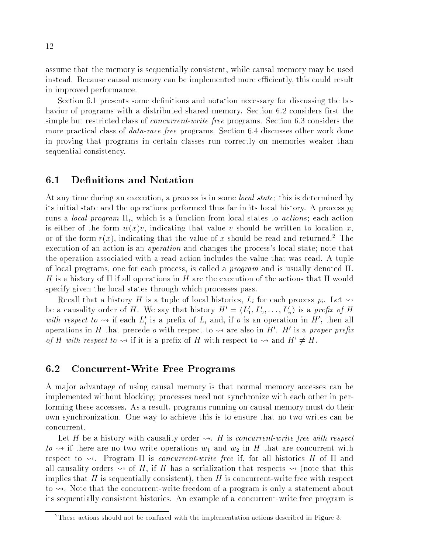assume that the memory is sequentially consistent, while causal memory may be used instead. Because causal memory can be implemented more efficiently, this could result in improved performance.

Section 6.1 presents some definitions and notation necessary for discussing the behavior of programs with a distributed shared memory. Section 6.2 considers first the simple but restricted class of *concurrent-write free* programs. Section 6.3 considers the more practical class of *data-race free* programs. Section 6.4 discusses other work done in proving that programs in certain classes run correctly on memories weaker than sequential consistency.

#### 6.1Definitions and Notation

At any time during an execution, a process is in some *local state*; this is determined by its initial state and the operations performed thus far in its local history. A process  $p_i$ runs a *local program*  $\Pi_i$ , which is a function from local states to *actions*; each action is either of the form  $w(x)v$ , indicating that value v should be written to location x, or of the form  $r(x)$ , indicating that the value of x should be read and returned. The execution of an action is an *operation* and changes the process's local state; note that the operation associated with a read action includes the value that was read. A tuple of local programs, one for each process, is called a *program* and is usually denoted  $\Pi$ . H is a history of  $\Pi$  if all operations in H are the execution of the actions that  $\Pi$  would specify given the local states through which processes pass.

Recall that a history H is a tuple of local histories,  $L_i$  for each process  $p_i$ . Let  $\rightsquigarrow$ be a causality order of H. We say that history  $H' = \langle L'_1, L'_2, \ldots, L'_n \rangle$  is a prefix of H with respect to  $\rightsquigarrow$  if each  $L_i'$  is a prefix of  $L_i$  and, if o is an operation in H', then all operations in H that precede *o* with respect to  $\rightsquigarrow$  are also in H'. H' is a proper prefix of H with respect to  $\leadsto$  if it is a prefix of H with respect to  $\leadsto$  and  $H' \neq H$ .

#### 6.2Concurrent-Write Free Programs

A ma jor advantage of using causal memory is that normal memory accesses can be implemented without blocking; processes need not synchronize with each other in performing these accesses. As a result, programs running on causal memory must do their own synchronization. One way to achieve this is to ensure that no two writes can be concurrent.

Let H be a history with causality order  $\rightsquigarrow$ . H is concurrent-write free with respect  $to \rightarrow$  if there are no two write operations  $w_1$  and  $w_2$  in H that are concurrent with respect to  $\rightsquigarrow$ . Program  $\Pi$  is *concurrent-write free* if, for all histories H of  $\Pi$  and all causality orders  $\rightsquigarrow$  of H, if H has a serialization that respects  $\rightsquigarrow$  (note that this implies that H is sequentially consistent), then H is concurrent-write free with respect to  $\rightsquigarrow$ . Note that the concurrent-write freedom of a program is only a statement about its sequentially consistent histories. An example of a concurrent-write free program is

<sup>2</sup>These actions should not be confused with the implementation actions described in Figure 3.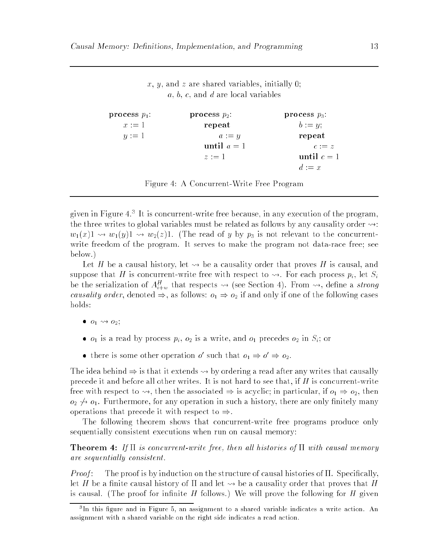$x, y$ , and z are shared variables, initially 0;  $a, b, c,$  and  $d$  are local variables

```
process p_1:
   x := 1y := 1process p_2:
                          repeat
                              a := yuntil a = 1z := 1process p_3:
                                                    b := y;repeat
                                                        c := zuntil c = 1d := x
```
Figure 4: A Concurrent-Write Free Program

given in Figure 4.7 It is concurrent-write free because, in any execution of the program, the three writes to global variables must be related as follows by any causality order  $\rightarrow$ :  $w_1(x)1 \rightsquigarrow w_1(y)1 \rightsquigarrow w_2(z)1.$  (The read of y by  $p_3$  is not relevant to the concurrentwrite freedom of the program. It serves to make the program not data-race free; see below.)

Let H be a causal history, let  $\leadsto$  be a causality order that proves H is causal, and suppose that H is concurrent-write free with respect to  $\rightsquigarrow$ . For each process  $p_i$ , let  $S_i$ be the serialization of  $A_{i+w}^H$  that respects  $\leadsto$  (see Section 4). From  $\leadsto$ , define a *strong* causality order, denoted  $\Rightarrow$ , as follows:  $o_1 \Rightarrow o_2$  if and only if one of the following cases

- $\bullet$   $o_1 \leadsto o_2;$
- $o_1$  is a read by process  $p_i$ ,  $o_2$  is a write, and  $o_1$  precedes  $o_2$  in  $S_i$ ; or
- there is some other operation of such that  $o_1 \Rightarrow o \Rightarrow o_2$ .

The idea behind  $\Rightarrow$  is that it extends  $\rightsquigarrow$  by ordering a read after any writes that causally precede it and before all other writes. It is not hard to see that, if H is concurrent-write free with respect to  $\rightsquigarrow$ , then the associated  $\Rightarrow$  is acyclic; in particular, if  $o_1 \Rightarrow o_2$ , then  $o_2 \nrightarrow o_1$ . Furthermore, for any operation in such a history, there are only finitely many operations that precede it with respect to  $\Rightarrow$ .

The following theorem shows that concurrent-write free programs produce only sequentially consistent executions when run on causal memory:

**Theorem 4:** If  $\Pi$  is concurrent-write free, then all histories of  $\Pi$  with causal memory are sequentially consistent.

*Proof*: The proof is by induction on the structure of causal histories of  $\Pi$ . Specifically, let H be a finite causal history of  $\Pi$  and let  $\leadsto$  be a causality order that proves that H is causal. (The proof for infinite H follows.) We will prove the following for H given

tin this ligure and in Figure 5, an assignment to a snared variable indicates a write action. An assignment with a shared variable on the right side indicates a read action.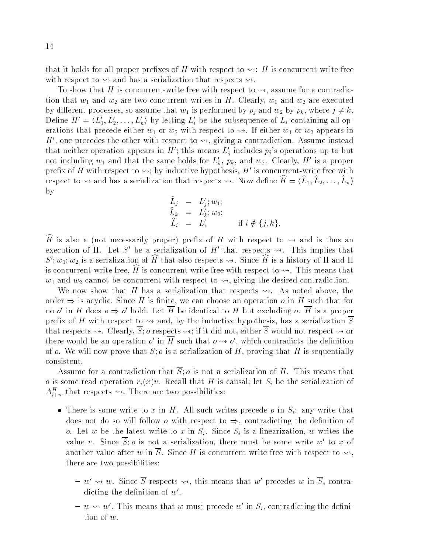that it holds for all proper prefixes of H with respect to  $\rightsquigarrow$ : H is concurrent-write free with respect to  $\rightsquigarrow$  and has a serialization that respects  $\rightsquigarrow$ .

To show that H is concurrent-write free with respect to  $\rightsquigarrow$ , assume for a contradiction that  $w_1$  and  $w_2$  are two concurrent writes in H. Clearly,  $w_1$  and  $w_2$  are executed by different processes, so assume that  $w_1$  is performed by  $p_j$  and  $w_2$  by  $p_k$ , where  $j \neq k$ . Define  $H' = \langle L_1', L_2', \ldots, L_n' \rangle$  by letting  $L_i'$  be the subsequence of  $L_i$  containing all operations that precede either  $w_1$  or  $w_2$  with respect to  $\rightsquigarrow$ . If either  $w_1$  or  $w_2$  appears in H', one precedes the other with respect to  $\rightsquigarrow$ , giving a contradiction. Assume instead that neither operation appears in H'; this means  $L'_j$  includes  $p_j$ 's operations up to but not including  $w_1$  and that the same holds for  $L'_k$ ,  $p_k$ , and  $w_2$ . Clearly,  $H'$  is a proper prefix of H with respect to  $\rightsquigarrow$ ; by inductive hypothesis, H' is concurrent-write free with respect to  $\rightsquigarrow$  and has a serialization that respects  $\rightsquigarrow$ . Now define  $H = \langle L_1, L_2, \ldots, L_n \rangle$ by

$$
\begin{array}{rcl}\n\widehat{L}_j & = & L'_j; w_1; \\
\widehat{L}_k & = & L'_k; w_2; \\
\widehat{L}_i & = & L'_i \qquad \text{if } i \notin \{j, k\}.\n\end{array}
$$

 $\widehat{H}$  is also a (not necessarily proper) prefix of H with respect to  $\rightsquigarrow$  and is thus an execution of  $\Pi$ . Let S' be a serialization of H' that respects  $\rightsquigarrow$ . This implies that  $S'; w_1; w_2$  is a serialization of H that also respects  $\leadsto$ . Since H is a history of  $\Pi$  and  $\Pi$ is concurrent-write free,  $\hat{H}$  is concurrent-write free with respect to  $\rightsquigarrow$ . This means that  $w_1$  and  $w_2$  cannot be concurrent with respect to  $\rightsquigarrow$ , giving the desired contradiction.

We now show that H has a serialization that respects  $\rightsquigarrow$ . As noted above, the order  $\Rightarrow$  is acyclic. Since H is finite, we can choose an operation o in H such that for no *o'* in H does  $\rho \Rightarrow \rho'$  hold. Let H be identical to H but excluding  $\rho$ . H is a proper prefix of H with respect to  $\rightsquigarrow$  and, by the inductive hypothesis, has a serialization  $\overline{S}$ that respects  $\rightsquigarrow$ . Clearly,  $\overline{S}$ ; o respects  $\rightsquigarrow$ ; if it did not, either  $\overline{S}$  would not respect  $\rightsquigarrow$  or there would be an operation o' in H such that  $o \leadsto o'$ , which contradicts the definition of o. We will now prove that  $\overline{S}$ ; o is a serialization of H, proving that H is sequentially consistent.

Assume for a contradiction that  $\overline{S}$ ; o is not a serialization of H. This means that o is some read operation  $r_i(x)v$ . Recall that H is causal; let  $S_i$  be the serialization of  $A_{i+w}^H$  that respects  $\rightsquigarrow$ . There are two possibilities:

- There is some write to x in H. All such writes precede o in  $S_i$ : any write that does not do so will follow *o* with respect to  $\Rightarrow$ , contradicting the definition of o. Let w be the latest write to x in  $S_i$ . Since  $S_i$  is a linearization, w writes the value v. Since S: *o* is not a serialization, there must be some write w' to x of another value after w in  $\overline{S}$ . Since H is concurrent-write free with respect to  $\rightsquigarrow$ , there are two possibilities:
	- $-w' \leadsto w$ . Since S respects  $\leadsto$ , this means that w' precedes w in S, contraaicting the definition of  $w$  .
	- $-w \rightsquigarrow w'$ . This means that w must precede w' in  $S_i$ , contradicting the definition of w.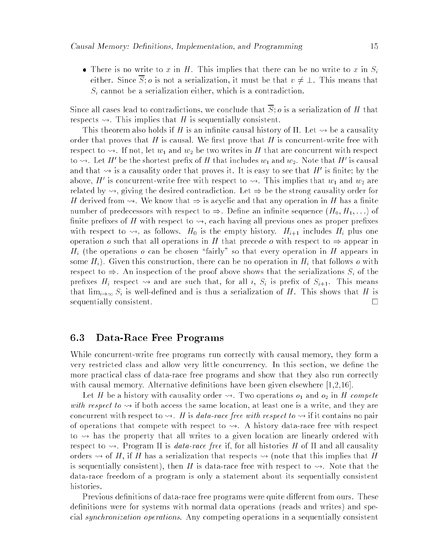• There is no write to x in H. This implies that there can be no write to x in  $S_i$ either. Since  $\overline{S}$ ; *o* is not a serialization, it must be that  $v \neq \bot$ . This means that  $S_i$  cannot be a serialization either, which is a contradiction.

Since all cases lead to contradictions, we conclude that  $\overline{S}$ ; o is a serialization of H that respects  $\rightsquigarrow$ . This implies that H is sequentially consistent.

This theorem also holds if H is an infinite causal history of  $\Pi$ . Let  $\rightsquigarrow$  be a causality order that proves that H is causal. We first prove that H is concurrent-write free with respect to  $\rightsquigarrow$ . If not, let  $w_1$  and  $w_2$  be two writes in H that are concurrent with respect to  $\rightsquigarrow$ . Let H' be the shortest prefix of H that includes  $w_1$  and  $w_2$ . Note that H' is causal and that  $\leadsto$  is a causality order that proves it. It is easy to see that H' is finite; by the above, H' is concurrent-write free with respect to  $\leadsto$ . This implies that  $w_1$  and  $w_2$  are related by  $\rightsquigarrow$ , giving the desired contradiction. Let  $\Rightarrow$  be the strong causality order for H derived from  $\rightsquigarrow$ . We know that  $\Rightarrow$  is acyclic and that any operation in H has a finite number of predecessors with respect to  $\Rightarrow$ . Define an infinite sequence  $(H_0, H_1, \ldots)$  of finite prefixes of H with respect to  $\rightsquigarrow$ , each having all previous ones as proper prefixes with respect to  $\rightsquigarrow$ , as follows.  $H_0$  is the empty history.  $H_{i+1}$  includes  $H_i$  plus one operation o such that all operations in H that precede o with respect to  $\Rightarrow$  appear in  $H_i$  (the operations o can be chosen "fairly" so that every operation in H appears in some  $H_i$ ). Given this construction, there can be no operation in  $H_i$  that follows o with respect to  $\Rightarrow$ . An inspection of the proof above shows that the serializations  $S_i$  of the prefixes  $H_i$  respect  $\rightsquigarrow$  and are such that, for all i,  $S_i$  is prefix of  $S_{i+1}$ . This means that  $\lim_{i\to\infty} S_i$  is well-defined and is thus a serialization of H. This shows that H is sequentially consistent.

#### 6.3Data-Race Free Programs

While concurrent-write free programs run correctly with causal memory, they form a very restricted class and allow very little concurrency. In this section, we dene the more practical class of data-race free programs and show that they also run correctly with causal memory. Alternative definitions have been given elsewhere  $[1,2,16]$ .

Let H be a history with causality order  $\rightsquigarrow$ . Two operations  $o_1$  and  $o_2$  in H compete with respect to  $\rightsquigarrow$  if both access the same location, at least one is a write, and they are concurrent with respect to  $\rightsquigarrow$ . H is data-race free with respect to  $\rightsquigarrow$  if it contains no pair of operations that compete with respect to  $\rightsquigarrow$ . A history data-race free with respect to  $\sim$  has the property that all writes to a given location are linearly ordered with respect to  $\rightsquigarrow$ . Program  $\Pi$  is *data-race free* if, for all histories H of  $\Pi$  and all causality orders  $\sim$  of H, if H has a serialization that respects  $\sim$  (note that this implies that H is sequentially consistent), then H is data-race free with respect to  $\rightsquigarrow$ . Note that the data-race freedom of a program is only a statement about its sequentially consistent histories.

Previous definitions of data-race free programs were quite different from ours. These definitions were for systems with normal data operations (reads and writes) and special synchronization operations. Any competing operations in a sequentially consistent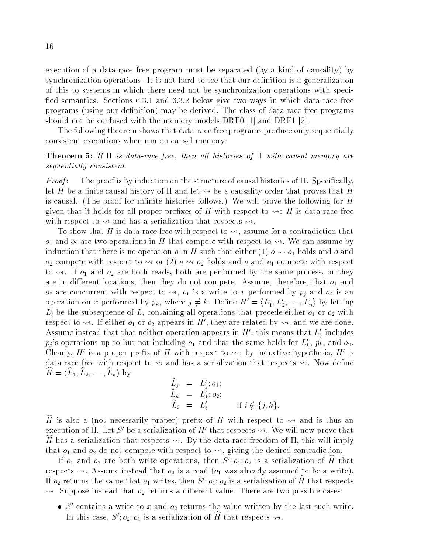execution of a data-race free program must be separated (by a kind of causality) by synchronization operations. It is not hard to see that our definition is a generalization of this to systems in which there need not be synchronization operations with speci fied semantics. Sections 6.3.1 and 6.3.2 below give two ways in which data-race free programs (using our definition) may be derived. The class of data-race free programs should not be confused with the memory models DRF0 [1] and DRF1 [2].

The following theorem shows that data-race free programs produce only sequentially consistent executions when run on causal memory:

## **Theorem 5:** If  $\Pi$  is data-race free, then all histories of  $\Pi$  with causal memory are sequentially consistent.

*Proof*: The proof is by induction on the structure of causal histories of  $\Pi$ . Specifically, let H be a finite causal history of  $\Pi$  and let  $\leadsto$  be a causality order that proves that H is causal. (The proof for infinite histories follows.) We will prove the following for  $H$ given that it holds for all proper prefixes of H with respect to  $\rightsquigarrow$ : H is data-race free with respect to  $\rightsquigarrow$  and has a serialization that respects  $\rightsquigarrow$ .

To show that H is data-race free with respect to  $\rightsquigarrow$ , assume for a contradiction that  $o_1$  and  $o_2$  are two operations in H that compete with respect to  $\rightsquigarrow$ . We can assume by induction that there is no operation  $o$  in H such that either (1)  $o \leadsto o_1$  holds and  $o$  and  $o_2$  compete with respect to  $\leadsto$  or (2)  $o \leadsto o_2$  holds and  $o$  and  $o_1$  compete with respect to  $\rightsquigarrow$ . If  $o_1$  and  $o_2$  are both reads, both are performed by the same process, or they are to different locations, then they do not compete. Assume, therefore, that  $o_1$  and  $o_2$  are concurrent with respect to  $\leadsto$ ,  $o_1$  is a write to x performed by  $p_i$  and  $o_2$  is an operation on x performed by  $p_k$ , where  $j \neq k$ . Define  $H' = \langle L'_1, L'_2, \ldots, L'_n \rangle$  by letting  $L_i'$  be the subsequence of  $L_i$  containing all operations that precede either  $o_1$  or  $o_2$  with respect to  $\rightsquigarrow$ . If either  $o_1$  or  $o_2$  appears in H', they are related by  $\rightsquigarrow$ , and we are done. Assume instead that that neither operation appears in H'; this means that  $L_i$  includes  $\cdot$  $p_j$ 's operations up to but not including  $o_1$  and that the same holds for  $L'_k$ ,  $p_k$ , and  $o_2$ . Clearly, H' is a proper prefix of H with respect to  $\rightarrow$ ; by inductive hypothesis, H' is data-race free with respect to  $\rightarrow$  and has a serialization that respects  $\rightarrow$ . Now define  $H = \langle L_1, L_2, \ldots, L_n \rangle$  by

$$
\begin{array}{rcl}\n\widehat{L}_j & = & L'_j; \, o_1; \\
\widehat{L}_k & = & L'_k; \, o_2; \\
\widehat{L}_i & = & L'_i \qquad \text{if } i \notin \{j, k\}.\n\end{array}
$$

 $\widehat{H}$  is also a (not necessarily proper) prefix of H with respect to  $\rightsquigarrow$  and is thus an execution of  $\Pi$ . Let S' be a serialization of H' that respects  $\rightsquigarrow$ . We will now prove that H has a serialization that respects  $\rightsquigarrow$ . By the data-race freedom of  $\Pi$ , this will imply that  $o_1$  and  $o_2$  do not compete with respect to  $\rightsquigarrow$ , giving the desired contradiction.

<sup>i</sup>

If  $o_1$  and  $o_2$  are both write operations, then  $S'; o_1; o_2$  is a serialization of H that respects  $\rightsquigarrow$ . Assume instead that  $o_2$  is a read ( $o_1$  was already assumed to be a write). If  $o_2$  returns the value that  $o_1$  writes, then  $S'$ ;  $o_1$ ;  $o_2$  is a serialization of H that respects  $\rightsquigarrow$ . Suppose instead that  $o_2$  returns a different value. There are two possible cases:

• S' contains a write to x and  $o_2$  returns the value written by the last such write. In this case,  $S'$ ;  $o_2$ ;  $o_1$  is a serialization of H that respects  $\rightsquigarrow$ .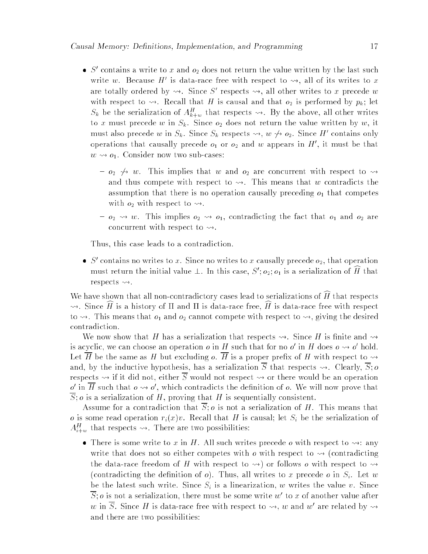- S' contains a write to x and  $o_2$  does not return the value written by the last such write w. Because H' is data-race free with respect to  $\rightsquigarrow$ , all of its writes to x are totally ordered by  $\rightsquigarrow$ . Since S' respects  $\rightsquigarrow$ , all other writes to x precede w with respect to  $\rightsquigarrow$ . Recall that H is causal and that  $o_2$  is performed by  $p_k$ ; let  $S_k$  be the serialization of  $A_{k+w}^H$  that respects  $\leadsto$ . By the above, all other writes to x must precede w in  $S_k$ . Since  $o_2$  does not return the value written by w, it must also precede w in  $S_k$ . Since  $S_k$  respects  $\leadsto$ ,  $w \not\leadsto o_2$ . Since H' contains only operations that causally precede  $o_1$  or  $o_2$  and w appears in H', it must be that  $w \leftrightarrow o_1$ . Consider now two sub-cases:
	- ${ o_2 \leftrightarrow w. }$  This implies that w and  $o_2$  are concurrent with respect to  $\rightsquigarrow$ and thus compete with respect to  $\rightsquigarrow$ . This means that w contradicts the assumption that there is no operation causally preceding  $o_1$  that competes with  $o_2$  with respect to  $\rightsquigarrow$ .
	- ${ o_2 \leadsto w}$ . This implies  $o_2 \leadsto o_1$ , contradicting the fact that  $o_1$  and  $o_2$  are concurrent with respect to  $\rightsquigarrow$ .

Thus, this case leads to a contradiction.

 $\bullet$  S' contains no writes to x. Since no writes to x causally precede  $o_2$ , that operation must return the initial value  $\perp$ . In this case,  $S'$ ;  $o_2$ ;  $o_1$  is a serialization of H that respects  $\rightsquigarrow$ .

We have shown that all non-contradictory cases lead to serializations of  $\hat{H}$  that respects  $\rightsquigarrow$ . Since H is a history of  $\Pi$  and  $\Pi$  is data-race free, H is data-race free with respect to  $\rightsquigarrow$ . This means that  $o_1$  and  $o_2$  cannot compete with respect to  $\rightsquigarrow$ , giving the desired contradiction.

We now show that H has a serialization that respects  $\rightsquigarrow$ . Since H is finite and  $\rightsquigarrow$ is acyclic, we can choose an operation o in H such that for no o' in H does  $o \leadsto o'$  hold. Let  $\overline{H}$  be the same as H but excluding o.  $\overline{H}$  is a proper prefix of H with respect to  $\rightsquigarrow$ and, by the inductive hypothesis, has a serialization  $\overline{S}$  that respects  $\rightsquigarrow$ . Clearly,  $\overline{S}$ ; o respects  $\rightsquigarrow$  if it did not, either  $\overline{S}$  would not respect  $\rightsquigarrow$  or there would be an operation o' in H such that  $o \leadsto o'$ , which contradicts the definition of o. We will now prove that  $\overline{S}$ ; *o* is a serialization of H, proving that H is sequentially consistent.

Assume for a contradiction that  $\overline{S}$ ; o is not a serialization of H. This means that o is some read operation  $r_i(x)v$ . Recall that H is causal; let  $S_i$  be the serialization of  $A_{i+w}^H$  that respects  $\rightsquigarrow$ . There are two possibilities:

• There is some write to x in H. All such writes precede o with respect to  $\rightarrow$ : any write that does not so either competes with  $o$  with respect to  $\sim$  (contradicting the data-race freedom of H with respect to  $\rightarrow$ ) or follows o with respect to  $\rightarrow$ (contradicting the definition of  $o$ ). Thus, all writes to x precede  $o$  in  $S_i$ . Let w be the latest such write. Since  $S_i$  is a linearization, w writes the value v. Since S: *o* is not a serialization, there must be some write w' to x of another value after w in S. Since H is data-race free with respect to  $\leadsto$ , w and w' are related by  $\leadsto$ and there are two possibilities: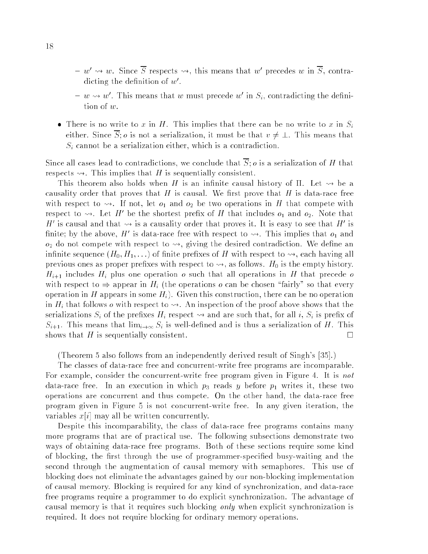- $-w' \leadsto w$ . Since S respects  $\leadsto$ , this means that w' precedes w in S, contradicting the definition of  $w$  .
- $-w \rightsquigarrow w'$ . This means that w must precede w' in  $S_i$ , contradicting the definition of w.
- There is no write to x in H. This implies that there can be no write to x in  $S_i$ either. Since  $\overline{S}$ ; *o* is not a serialization, it must be that  $v \neq \bot$ . This means that  $S_i$  cannot be a serialization either, which is a contradiction.

Since all cases lead to contradictions, we conclude that  $\overline{S}$ ; o is a serialization of H that respects  $\rightsquigarrow$ . This implies that H is sequentially consistent.

This theorem also holds when H is an infinite causal history of  $\Pi$ . Let  $\rightsquigarrow$  be a causality order that proves that H is causal. We first prove that H is data-race free with respect to  $\rightsquigarrow$ . If not, let  $o_1$  and  $o_2$  be two operations in H that compete with respect to  $\rightsquigarrow$ . Let H' be the shortest prefix of H that includes  $o_1$  and  $o_2$ . Note that H' is causal and that  $\sim$  is a causality order that proves it. It is easy to see that H' is finite; by the above, H' is data-race free with respect to  $\rightsquigarrow$ . This implies that  $o_1$  and  $o_2$  do not compete with respect to  $\rightsquigarrow$ , giving the desired contradiction. We define an infinite sequence  $(H_0, H_1, \ldots)$  of finite prefixes of H with respect to  $\rightsquigarrow$ , each having all previous ones as proper prefixes with respect to  $\rightsquigarrow$ , as follows.  $H_0$  is the empty history.  $H_{i+1}$  includes  $H_i$  plus one operation o such that all operations in H that precede o with respect to  $\Rightarrow$  appear in H<sub>i</sub> (the operations o can be chosen "fairly" so that every operation in H appears in some  $H_i$ ). Given this construction, there can be no operation in  $H_i$  that follows *o* with respect to  $\leadsto$ . An inspection of the proof above shows that the serializations  $S_i$  of the prefixes  $H_i$  respect  $\leadsto$  and are such that, for all i,  $S_i$  is prefix of  $S_{i+1}$ . This means that  $\lim_{i\to\infty} S_i$  is well-defined and is thus a serialization of H. This shows that H is sequentially consistent.

(Theorem 5 also follows from an independently derived result of Singh's [35].)

The classes of data-race free and concurrent-write free programs are incomparable. For example, consider the concurrent-write free program given in Figure 4. It is not data-race free. In an execution in which  $p_3$  reads y before  $p_1$  writes it, these two operations are concurrent and thus compete. On the other hand, the data-race free program given in Figure 5 is not concurrent-write free. In any given iteration, the variables  $x[i]$  may all be written concurrently.

Despite this incomparability, the class of data-race free programs contains many more programs that are of practical use. The following subsections demonstrate two ways of obtaining data-race free programs. Both of these sections require some kind of blocking, the first through the use of programmer-specified busy-waiting and the second through the augmentation of causal memory with semaphores. This use of blocking does not eliminate the advantages gained by our non-blocking implementation of causal memory. Blocking is required for any kind of synchronization, and data-race free programs require a programmer to do explicit synchronization. The advantage of causal memory is that it requires such blocking only when explicit synchronization is required. It does not require blocking for ordinary memory operations.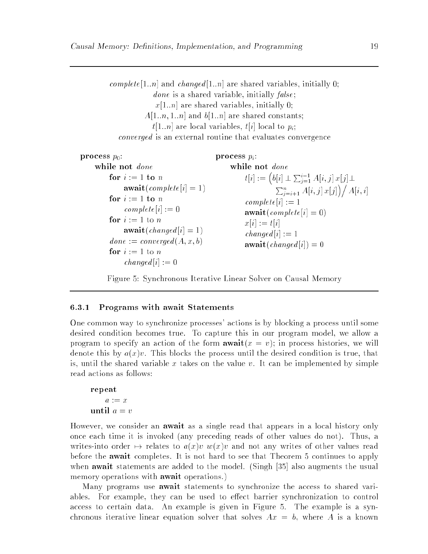complete [1.:n] and changed [1.:n] are shared variables, initially 0; *done* is a shared variable, initially  $false$ ;  $x[1..n]$  are shared variables, initially 0;  $A[1..n, 1..n]$  and  $b[1..n]$  are shared constants;  $t[1..n]$  are local variables,  $t[i]$  local to  $p_i$ ; converged is an external routine that evaluates convergence

```
process p_0:
    while not done
         for i := 1 to n
              \mathbf{await}(\mathit{complete}[i] = 1)for i := 1 to ncomplete[i] := 0for i := 1 to n
              await(changed[i] = 1)done := converged(A, x, b)for i := 1 to n
              changed[i] := 0process p_i:
                                                  while not done
                                                       t[i] := (b[i] \perp \sum_{j=1}^{i-1} A[i,j] x[j] \perp\sum_{j=i+1}^n A[i,j] x[j] \big) / A[i,i]complete[i] := 1\mathbf{await}(\mathit{complete}[i] = 0)x[i] := t[i]changed[i] := 1await(changed[i]) = 0
```
Figure 5: Synchronous Iterative Linear Solver on Causal Memory

### 6.3.1 Programs with await Statements

One common way to synchronize processes' actions is by blocking a process until some desired condition becomes true. To capture this in our program model, we allow a program to specify an action of the form  $\mathbf{await}(x = v)$ ; in process histories, we will denote this by  $a(x)v$ . This blocks the process until the desired condition is true, that is, until the shared variable x takes on the value v. It can be implemented by simple read actions as follows:

```
repeat
   a := xuntil a = v
```
However, we consider an await as a single read that appears in a local history only once each time it is invoked (any preceding reads of other values do not). Thus, a writes-into order  $\mapsto$  relates to  $a(x)v$  w(x)v and not any writes of other values read before the await completes. It is not hard to see that Theorem 5 continues to apply when **await** statements are added to the model. (Singh [35] also augments the usual memory operations with **await** operations.)

Many programs use **await** statements to synchronize the access to shared variables. For example, they can be used to effect barrier synchronization to control access to certain data. An example is given in Figure 5. The example is a synchronous iterative linear equation solver that solves  $Ax = b$ , where A is a known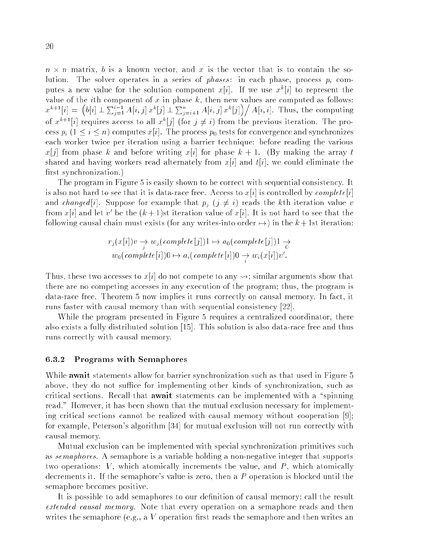$n \times n$  matrix, b is a known vector, and x is the vector that is to contain the solution. The solver operates in a series of *phases*: in each phase, process  $p_i$  computes a new value for the solution component  $x[i]$ . If we use  $x^{k}|i|$  to represent the value of the *i*th component of x in phase  $k$ , then new values are computed as follows:  $x^{k+1}[i] = (b[i] \perp \sum_{j=1}^{i-1} A[i,j] x^{k}[j] \perp \sum_{j=i+1}^{n} A[i,j] x^{k}[j]) / A[i,i]$ . Thus, the computing of  $x^{k+1}[i]$  requires access to all  $x^k[j]$  (for  $j \neq i$ ) from the previous iteration. The process  $p_i$   $(1 \le i \le n)$  computes  $x[i]$ . The process  $p_0$  tests for convergence and synchronizes each worker twice per iteration using a barrier technique: before reading the various  $x[j]$  from phase k and before writing  $x[i]$  for phase  $k + 1$ . (By making the array t shared and having workers read alternately from  $x[i]$  and  $t[i]$ , we could eliminate the first synchronization.)

The program in Figure 5 is easily shown to be correct with sequential consistency. It is also not hard to see that it is data-race free. Access to  $x[i]$  is controlled by *complete* [i] and *changed* [i]. Suppose for example that  $p_j$  ( $j \neq i$ ) reads the kth iteration value v from  $x[i]$  and let v' be the  $(k+1)$ st iteration value of  $x[i]$ . It is not hard to see that the following causal chain must exists (for any writes-into order  $\mapsto$ ) in the  $k + 1$ st iteration:

$$
r_j(x[i])v \underset{j}{\rightarrow} w_j(\text{complete}[j])1 \mapsto a_0(\text{complete}[j])1 \underset{0}{\rightarrow} w_0(\text{complete}[i])0 \mapsto a_i(\text{complete}[i])0 \rightarrow w_i(x[i])v'.
$$

Thus, these two accesses to  $x[i]$  do not compete to any  $\leadsto;$  similar arguments show that there are no competing accesses in any execution of the program; thus, the program is data-race free. Theorem 5 now implies it runs correctly on causal memory. In fact, it runs faster with causal memory than with sequential consistency [22].

While the program presented in Figure 5 requires a centralized coordinator, there also exists a fully distributed solution [15]. This solution is also data-race free and thus runs correctly with causal memory.

### 6.3.2 Programs with Semaphores

While **await** statements allow for barrier synchronization such as that used in Figure 5 above, they do not suffice for implementing other kinds of synchronization, such as critical sections. Recall that **await** statements can be implemented with a "spinning" read." However, it has been shown that the mutual exclusion necessary for implementing critical sections cannot be realized with causal memory without cooperation [9]; for example, Peterson's algorithm [34] for mutual exclusion will not run correctly with causal memory.

Mutual exclusion can be implemented with special synchronization primitives such as *semaphores*. A semaphore is a variable holding a non-negative integer that supports two operations:  $V$ , which atomically increments the value, and  $P$ , which atomically decrements it. If the semaphore's value is zero, then a P operation is blocked until the semaphore becomes positive.

It is possible to add semaphores to our definition of causal memory; call the result extended causal memory. Note that every operation on a semaphore reads and then writes the semaphore (e.g., a V operation first reads the semaphore and then writes an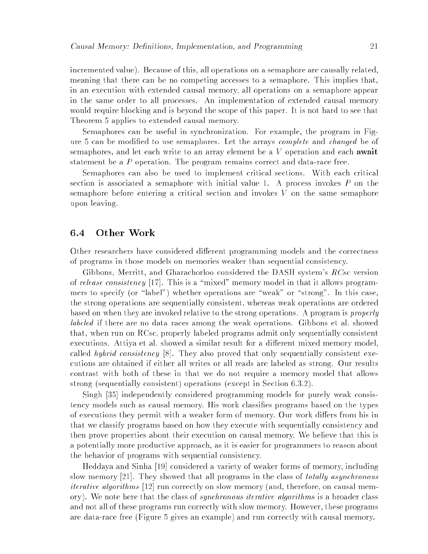incremented value). Because of this, all operations on a semaphore are causally related, meaning that there can be no competing accesses to a semaphore. This implies that, in an execution with extended causal memory, all operations on a semaphore appear in the same order to all processes. An implementation of extended causal memory would require blocking and is beyond the scope of this paper. It is not hard to see that Theorem 5 applies to extended causal memory.

Semaphores can be useful in synchronization. For example, the program in Figure 5 can be modified to use semaphores. Let the arrays *complete* and *changed* be of semaphores, and let each write to an array element be a  $V$  operation and each **await** statement be a  $P$  operation. The program remains correct and data-race free.

Semaphores can also be used to implement critical sections. With each critical section is associated a semaphore with initial value 1. A process invokes P on the semaphore before entering a critical section and invokes V on the same semaphore upon leaving.

## 6.4 Other Work

Other researchers have considered different programming models and the correctness of programs in those models on memories weaker than sequential consistency.

Gibbons, Merritt, and Gharachorloo considered the DASH system's RCsc version of release consistency  $[17]$ . This is a "mixed" memory model in that it allows programmers to specify (or "label") whether operations are "weak" or "strong". In this case, the strong operations are sequentially consistent, whereas weak operations are ordered based on when they are invoked relative to the strong operations. A program is properly labeled if there are no data races among the weak operations. Gibbons et al. showed that, when run on RCsc, properly labeled programs admit only sequentially consistent executions. Attiva et al. showed a similar result for a different mixed memory model, called hybrid consistency [8]. They also proved that only sequentially consistent executions are obtained if either all writes or all reads are labeled as strong. Our results contrast with both of these in that we do not require a memory model that allows strong (sequentially consistent) operations (except in Section 6.3.2).

Singh [35] independently considered programming models for purely weak consistency models such as causal memory. His work classifies programs based on the types of executions they permit with a weaker form of memory. Our work differs from his in that we classify programs based on how they execute with sequentially consistency and then prove properties about their execution on causal memory. We believe that this is a potentially more productive approach, as it is easier for programmers to reason about the behavior of programs with sequential consistency.

Heddaya and Sinha [19] considered a variety of weaker forms of memory, including slow memory [21]. They showed that all programs in the class of totally asynchronous iterative algorithms [12] run correctly on slow memory (and, therefore, on causal memory). We note here that the class of *synchronous iterative algorithms* is a broader class and not all of these programs run correctly with slow memory. However, these programs are data-race free (Figure 5 gives an example) and run correctly with causal memory.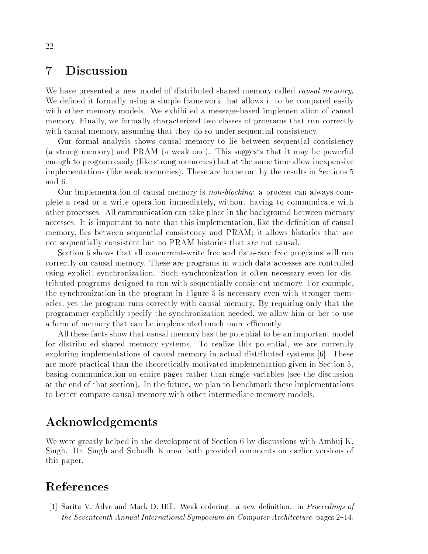### **Discussion**  $\overline{7}$

We have presented a new model of distributed shared memory called *causal memory*. We defined it formally using a simple framework that allows it to be compared easily with other memory models. We exhibited a message-based implementation of causal memory. Finally, we formally characterized two classes of programs that run correctly with causal memory, assuming that they do so under sequential consistency.

Our formal analysis shows causal memory to lie between sequential consistency (a strong memory) and PRAM (a weak one). This suggests that it may be powerful enough to program easily (like strong memories) but at the same time allow inexpensive implementations (like weak memories). These are borne out by the results in Sections 5 and 6.

Our implementation of causal memory is *non-blocking*; a process can always complete a read or a write operation immediately, without having to communicate with other processes. All communication can take place in the background between memory accesses. It is important to note that this implementation, like the definition of causal memory, lies between sequential consistency and PRAM; it allows histories that are not sequentially consistent but no PRAM histories that are not causal.

Section 6 shows that all concurrent-write free and data-race free programs will run correctly on causal memory. These are programs in which data accesses are controlled using explicit synchronization. Such synchronization is often necessary even for distributed programs designed to run with sequentially consistent memory. For example, the synchronization in the program in Figure 5 is necessary even with stronger memories, yet the program runs correctly with causal memory. By requiring only that the programmer explicitly specify the synchronization needed, we allow him or her to use a form of memory that can be implemented much more efficiently.

All these facts show that causal memory has the potential to be an important model for distributed shared memory systems. To realize this potential, we are currently exploring implementations of causal memory in actual distributed systems [6]. These are more practical than the theoretically motivated implementation given in Section 5, basing communication on entire pages rather than single variables (see the discussion at the end of that section). In the future, we plan to benchmark these implementations to better compare causal memory with other intermediate memory models.

# Acknowledgements

We were greatly helped in the development of Section 6 by discussions with Ambuj K. Singh. Dr. Singh and Subodh Kumar both provided comments on earlier versions of this paper.

# References

[1] Sarita V. Adve and Mark D. Hill. Weak ordering—a new definition. In *Proceedings of* the Seventeenth Annual International Symposium on Computer Architecture, pages  $2-14$ ,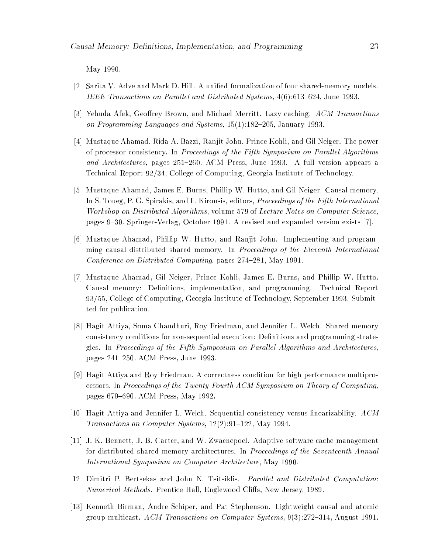May 1990.

- [2] Sarita V. Adve and Mark D. Hill. A unified formalization of four shared-memory models. IEEE Transactions on Parallel and Distributed Systems,  $4(6)$ :613-624, June 1993.
- [3] Yehuda Afek, Geoffrey Brown, and Michael Merritt. Lazy caching. ACM Transactions on Programming Languages and Systems,  $15(1):182{-}205$ , January 1993.
- [4] Mustaque Ahamad, Rida A. Bazzi, Ranjit John, Prince Kohli, and Gil Neiger. The power of processor consistency. In Proceedings of the Fifth Symposium on Parallel Algorithms and Architectures, pages 251-260. ACM Press, June 1993. A full version appears a Technical Report 92/34, College of Computing, Georgia Institute of Technology.
- [5] Mustaque Ahamad, James E. Burns, Phillip W. Hutto, and Gil Neiger. Causal memory. In S. Toueg, P. G. Spirakis, and L. Kirousis, editors, *Proceedings of the Fifth International* Workshop on Distributed Algorithms, volume 579 of Lecture Notes on Computer Science, pages 9-30. Springer-Verlag, October 1991. A revised and expanded version exists [7].
- [6] Mustaque Ahamad, Phillip W. Hutto, and Ranjit John. Implementing and programming causal distributed shared memory. In Proceedings of the Eleventh International Conference on Distributed Computing, pages  $274-281$ , May 1991.
- [7] Mustaque Ahamad, Gil Neiger, Prince Kohli, James E. Burns, and Phillip W. Hutto. Causal memory: Definitions, implementation, and programming. Technical Report 93/55, College of Computing, Georgia Institute of Technology, September 1993. Submitted for publication.
- [8] Hagit Attiya, Soma Chaudhuri, Roy Friedman, and Jennifer L. Welch. Shared memory consistency conditions for non-sequential execution: Definitions and programming strategies. In Proceedings of the Fifth Symposium on Parallel Algorithms and Architectures, pages 241-250. ACM Press, June 1993.
- [9] Hagit Attiya and Roy Friedman. A correctness condition for high performance multiprocessors. In Proceedings of the Twenty-Fourth ACM Symposium on Theory of Computing, pages 679-690. ACM Press, May 1992.
- [10] Hagit Attiya and Jennifer L. Welch. Sequential consistency versus linearizability. ACM Transactions on Computer Systems,  $12(2):91-122$ , May 1994.
- [11] J. K. Bennett, J. B. Carter, and W. Zwaenepoel. Adaptive software cache management for distributed shared memory architectures. In Proceedings of the Seventeenth Annual International Symposium on Computer Architecture, May 1990.
- [12] Dimitri P. Bertsekas and John N. Tsitsiklis. Parallel and Distributed Computation: Numerical Methods. Prentice Hall, Englewood Cliffs, New Jersey, 1989.
- [13] Kenneth Birman, Andre Schiper, and Pat Stephenson. Lightweight causal and atomic group multicast. ACM Transactions on Computer Systems,  $9(3):272-314$ , August 1991.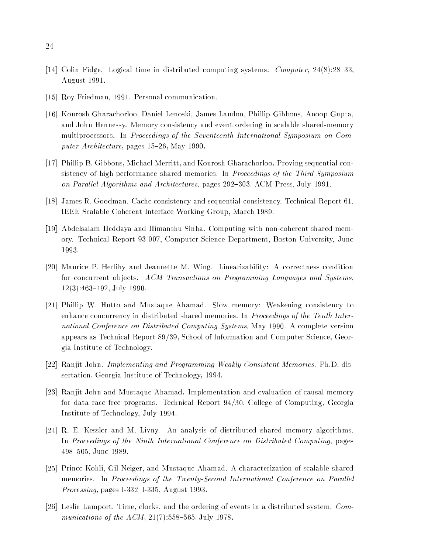- [14] Colin Fidge. Logical time in distributed computing systems. Computer,  $24(8):28{-}33$ , August 1991.
- [15] Roy Friedman, 1991. Personal communication.
- [16] Kourosh Gharachorloo, Daniel Lenoski, James Laudon, Phillip Gibbons, Anoop Gupta, and John Hennessy. Memory consistency and event ordering in scalable shared-memory multiprocessors. In Proceedings of the Seventeenth International Symposium on Computer  $Architecture$ , pages 15-26, May 1990.
- [17] Phillip B. Gibbons, Michael Merritt, and Kourosh Gharachorloo. Proving sequential consistency of high-performance shared memories. In *Proceedings of the Third Symposium* on Parallel Algorithms and Architectures, pages 292-303. ACM Press, July 1991.
- [18] James R. Goodman. Cache consistency and sequential consistency. Technical Report 61, IEEE Scalable Coherent Interface Working Group, March 1989.
- [19] Abdelsalam Heddaya and Himanshu Sinha. Computing with non-coherent shared memory. Technical Report 93-007, Computer Science Department, Boston University, June 1993.
- [20] Maurice P. Herlihy and Jeannette M. Wing. Linearizability: A correctness condition for concurrent objects. ACM Transactions on Programming Languages and Systems,  $12(3):463{-}492$ , July 1990.
- [21] Phillip W. Hutto and Mustaque Ahamad. Slow memory: Weakening consistency to enhance concurrency in distributed shared memories. In *Proceedings of the Tenth Inter*national Conference on Distributed Computing Systems, May 1990. A complete version appears as Technical Report 89/39, School of Information and Computer Science, Georgia Institute of Technology.
- [22] Ranjit John. Implementing and Programming Weakly Consistent Memories. Ph.D. dissertation, Georgia Institute of Technology, 1994.
- [23] Ranjit John and Mustaque Ahamad. Implementation and evaluation of causal memory for data race free programs. Technical Report 94/30, College of Computing, Georgia Institute of Technology, July 1994.
- [24] R. E. Kessler and M. Livny. An analysis of distributed shared memory algorithms. In Proceedings of the Ninth International Conference on Distributed Computing, pages 498-505, June 1989.
- [25] Prince Kohli, Gil Neiger, and Mustaque Ahamad. A characterization of scalable shared memories. In Proceedings of the Twenty-Second International Conference on Parallel *Processing*, pages I-332-I-335, August 1993.
- [26] Leslie Lamport. Time, clocks, and the ordering of events in a distributed system. Communications of the ACM,  $21(7)$ :558-565, July 1978.